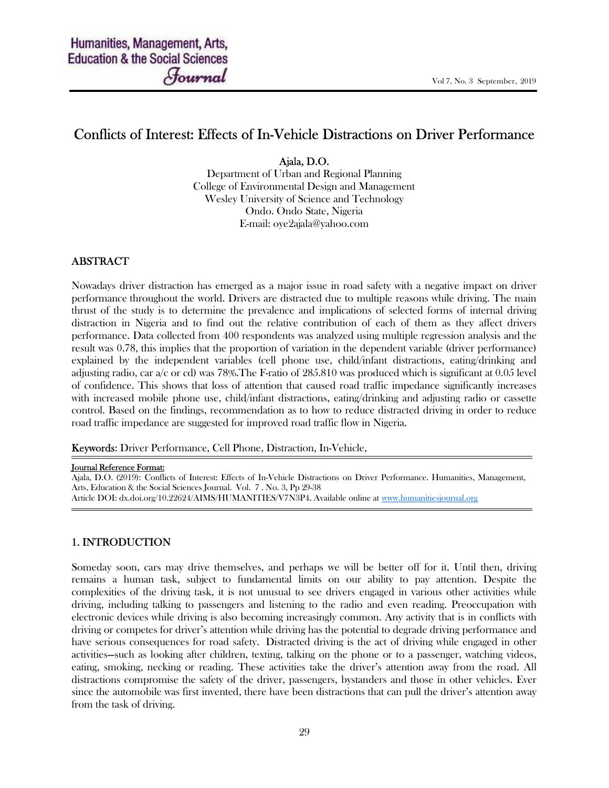# Conflicts of Interest: Effects of In-Vehicle Distractions on Driver Performance

Ajala, D.O.

Department of Urban and Regional Planning College of Environmental Design and Management Wesley University of Science and Technology Ondo. Ondo State, Nigeria E-mail: oye2ajala@yahoo.com

# ABSTRACT

Nowadays driver distraction has emerged as a major issue in road safety with a negative impact on driver performance throughout the world. Drivers are distracted due to multiple reasons while driving. The main thrust of the study is to determine the prevalence and implications of selected forms of internal driving distraction in Nigeria and to find out the relative contribution of each of them as they affect drivers performance. Data collected from 400 respondents was analyzed using multiple regression analysis and the result was 0.78, this implies that the proportion of variation in the dependent variable (driver performance) explained by the independent variables (cell phone use, child/infant distractions, eating/drinking and adjusting radio, car a/c or cd) was 78%.The F-ratio of 285.810 was produced which is significant at 0.05 level of confidence. This shows that loss of attention that caused road traffic impedance significantly increases with increased mobile phone use, child/infant distractions, eating/drinking and adjusting radio or cassette control. Based on the findings, recommendation as to how to reduce distracted driving in order to reduce road traffic impedance are suggested for improved road traffic flow in Nigeria.

Keywords: Driver Performance, Cell Phone, Distraction, In-Vehicle,

#### Journal Reference Format:

Ajala, D.O. (2019): Conflicts of Interest: Effects of In-Vehicle Distractions on Driver Performance. Humanities, Management, Arts, Education & the Social Sciences Journal. Vol. 7 . No. 3, Pp 29-38 Article DOI: dx.doi.org/10.22624/AIMS/HUMANITIES/V7N3P4. Available online at www.humanitiesjournal.org

### 1. INTRODUCTION

Someday soon, cars may drive themselves, and perhaps we will be better off for it. Until then, driving remains a human task, subject to fundamental limits on our ability to pay attention. Despite the complexities of the driving task, it is not unusual to see drivers engaged in various other activities while driving, including talking to passengers and listening to the radio and even reading. Preoccupation with electronic devices while driving is also becoming increasingly common. Any activity that is in conflicts with driving or competes for driver's attention while driving has the potential to degrade driving performance and have serious consequences for road safety. Distracted driving is the act of driving while engaged in other activities—such as looking after children, texting, talking on the phone or to a passenger, watching videos, eating, smoking, necking or reading. These activities take the driver's attention away from the road. All distractions compromise the safety of the driver, passengers, bystanders and those in other vehicles. Ever since the automobile was first invented, there have been distractions that can pull the driver's attention away from the task of driving.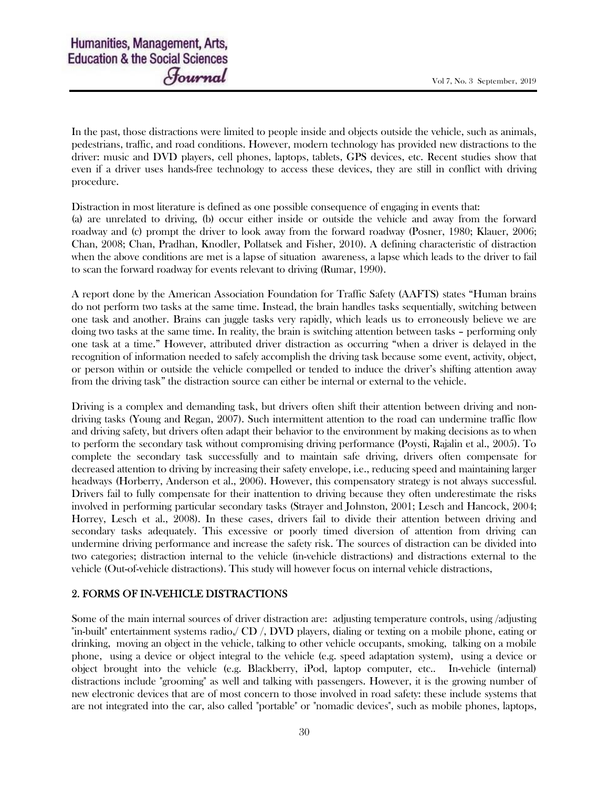In the past, those distractions were limited to people inside and objects outside the vehicle, such as animals, pedestrians, traffic, and road conditions. However, modern technology has provided new distractions to the driver: music and DVD players, cell phones, laptops, tablets, GPS devices, etc. Recent studies show that even if a driver uses hands-free technology to access these devices, they are still in conflict with driving procedure.

Distraction in most literature is defined as one possible consequence of engaging in events that:

(a) are unrelated to driving, (b) occur either inside or outside the vehicle and away from the forward roadway and (c) prompt the driver to look away from the forward roadway (Posner, 1980; Klauer, 2006; Chan, 2008; Chan, Pradhan, Knodler, Pollatsek and Fisher, 2010). A defining characteristic of distraction when the above conditions are met is a lapse of situation awareness, a lapse which leads to the driver to fail to scan the forward roadway for events relevant to driving (Rumar, 1990).

A report done by the American Association Foundation for Traffic Safety (AAFTS) states "Human brains do not perform two tasks at the same time. Instead, the brain handles tasks sequentially, switching between one task and another. Brains can juggle tasks very rapidly, which leads us to erroneously believe we are doing two tasks at the same time. In reality, the brain is switching attention between tasks – performing only one task at a time." However, attributed driver distraction as occurring "when a driver is delayed in the recognition of information needed to safely accomplish the driving task because some event, activity, object, or person within or outside the vehicle compelled or tended to induce the driver's shifting attention away from the driving task" the distraction source can either be internal or external to the vehicle.

Driving is a complex and demanding task, but drivers often shift their attention between driving and nondriving tasks (Young and Regan, 2007). Such intermittent attention to the road can undermine traffic flow and driving safety, but drivers often adapt their behavior to the environment by making decisions as to when to perform the secondary task without compromising driving performance (Poysti, Rajalin et al., 2005). To complete the secondary task successfully and to maintain safe driving, drivers often compensate for decreased attention to driving by increasing their safety envelope, i.e., reducing speed and maintaining larger headways (Horberry, Anderson et al., 2006). However, this compensatory strategy is not always successful. Drivers fail to fully compensate for their inattention to driving because they often underestimate the risks involved in performing particular secondary tasks (Strayer and Johnston, 2001; Lesch and Hancock, 2004; Horrey, Lesch et al., 2008). In these cases, drivers fail to divide their attention between driving and secondary tasks adequately. This excessive or poorly timed diversion of attention from driving can undermine driving performance and increase the safety risk. The sources of distraction can be divided into two categories; distraction internal to the vehicle (in-vehicle distractions) and distractions external to the vehicle (Out-of-vehicle distractions). This study will however focus on internal vehicle distractions,

#### 2. FORMS OF IN-VEHICLE DISTRACTIONS

Some of the main internal sources of driver distraction are: adjusting temperature controls, using /adjusting "in-built" entertainment systems radio,/ CD /, DVD players, dialing or texting on a mobile phone, eating or drinking, moving an object in the vehicle, talking to other vehicle occupants, smoking, talking on a mobile phone, using a device or object integral to the vehicle (e.g. speed adaptation system), using a device or object brought into the vehicle (e.g. Blackberry, iPod, laptop computer, etc.. In-vehicle (internal) distractions include "grooming" as well and talking with passengers. However, it is the growing number of new electronic devices that are of most concern to those involved in road safety: these include systems that are not integrated into the car, also called "portable" or "nomadic devices", such as mobile phones, laptops,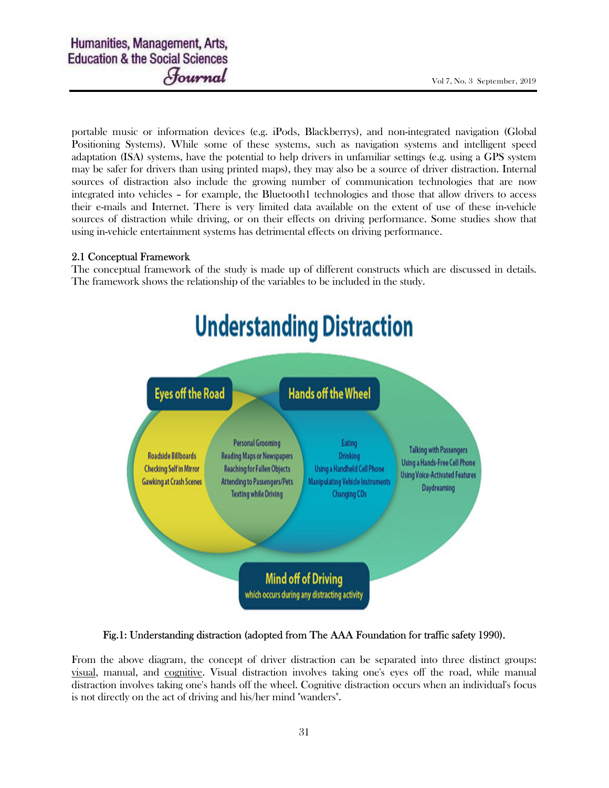portable music or information devices (e.g. iPods, Blackberrys), and non-integrated navigation (Global Positioning Systems). While some of these systems, such as navigation systems and intelligent speed adaptation (ISA) systems, have the potential to help drivers in unfamiliar settings (e.g. using a GPS system may be safer for drivers than using printed maps), they may also be a source of driver distraction. Internal sources of distraction also include the growing number of communication technologies that are now integrated into vehicles – for example, the Bluetooth1 technologies and those that allow drivers to access their e-mails and Internet. There is very limited data available on the extent of use of these in-vehicle sources of distraction while driving, or on their effects on driving performance. Some studies show that using in-vehicle entertainment systems has detrimental effects on driving performance.

### 2.1 Conceptual Framework

The conceptual framework of the study is made up of different constructs which are discussed in details. The framework shows the relationship of the variables to be included in the study.



### Fig.1: Understanding distraction (adopted from The AAA Foundation for traffic safety 1990).

From the above diagram, the concept of driver distraction can be separated into three distinct groups: visual, manual, and cognitive. Visual distraction involves taking one's eyes off the road, while manual distraction involves taking one's hands off the wheel. Cognitive distraction occurs when an individual's focus is not directly on the act of driving and his/her mind "wanders".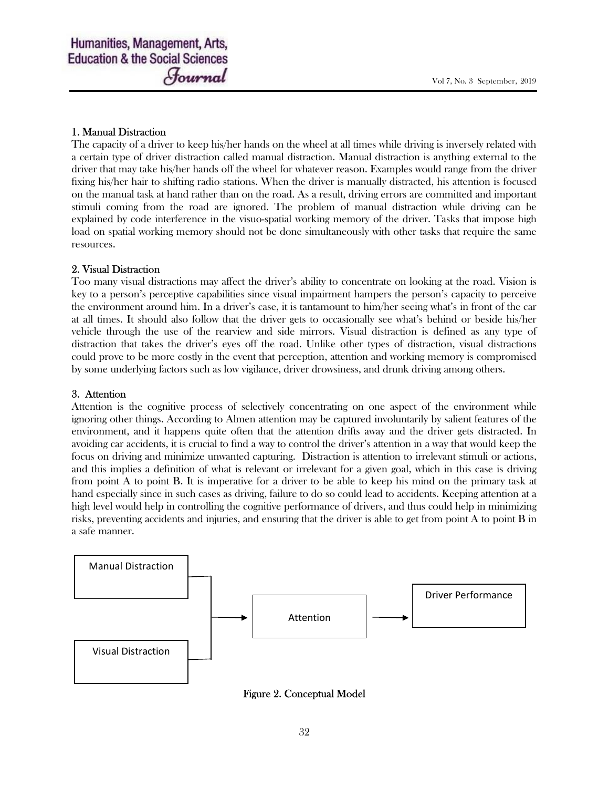### 1. Manual Distraction

The capacity of a driver to keep his/her hands on the wheel at all times while driving is inversely related with a certain type of driver distraction called manual distraction. Manual distraction is anything external to the driver that may take his/her hands off the wheel for whatever reason. Examples would range from the driver fixing his/her hair to shifting radio stations. When the driver is manually distracted, his attention is focused on the manual task at hand rather than on the road. As a result, driving errors are committed and important stimuli coming from the road are ignored. The problem of manual distraction while driving can be explained by code interference in the visuo-spatial working memory of the driver. Tasks that impose high load on spatial working memory should not be done simultaneously with other tasks that require the same resources.

### 2. Visual Distraction

Too many visual distractions may affect the driver's ability to concentrate on looking at the road. Vision is key to a person's perceptive capabilities since visual impairment hampers the person's capacity to perceive the environment around him. In a driver's case, it is tantamount to him/her seeing what's in front of the car at all times. It should also follow that the driver gets to occasionally see what's behind or beside his/her vehicle through the use of the rearview and side mirrors. Visual distraction is defined as any type of distraction that takes the driver's eyes off the road. Unlike other types of distraction, visual distractions could prove to be more costly in the event that perception, attention and working memory is compromised by some underlying factors such as low vigilance, driver drowsiness, and drunk driving among others.

### 3. Attention

Attention is the cognitive process of selectively concentrating on one aspect of the environment while ignoring other things. According to Almen attention may be captured involuntarily by salient features of the environment, and it happens quite often that the attention drifts away and the driver gets distracted. In avoiding car accidents, it is crucial to find a way to control the driver's attention in a way that would keep the focus on driving and minimize unwanted capturing. Distraction is attention to irrelevant stimuli or actions, and this implies a definition of what is relevant or irrelevant for a given goal, which in this case is driving from point A to point B. It is imperative for a driver to be able to keep his mind on the primary task at hand especially since in such cases as driving, failure to do so could lead to accidents. Keeping attention at a high level would help in controlling the cognitive performance of drivers, and thus could help in minimizing risks, preventing accidents and injuries, and ensuring that the driver is able to get from point A to point B in a safe manner.



Figure 2. Conceptual Model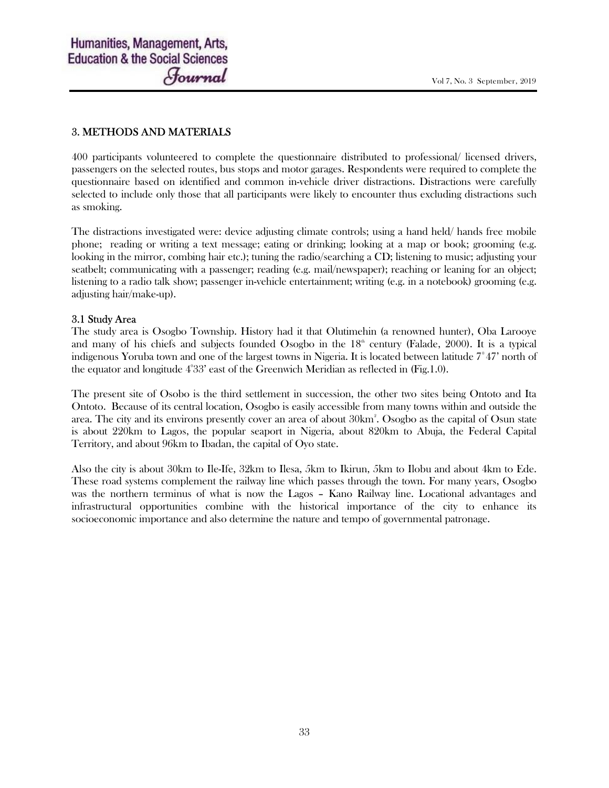#### 3. METHODS AND MATERIALS

400 participants volunteered to complete the questionnaire distributed to professional/ licensed drivers, passengers on the selected routes, bus stops and motor garages. Respondents were required to complete the questionnaire based on identified and common in-vehicle driver distractions. Distractions were carefully selected to include only those that all participants were likely to encounter thus excluding distractions such as smoking.

The distractions investigated were: device adjusting climate controls; using a hand held/ hands free mobile phone; reading or writing a text message; eating or drinking; looking at a map or book; grooming (e.g. looking in the mirror, combing hair etc.); tuning the radio/searching a CD; listening to music; adjusting your seatbelt; communicating with a passenger; reading (e.g. mail/newspaper); reaching or leaning for an object; listening to a radio talk show; passenger in-vehicle entertainment; writing (e.g. in a notebook) grooming (e.g. adjusting hair/make-up).

#### 3.1 Study Area

The study area is Osogbo Township. History had it that Olutimehin (a renowned hunter), Oba Larooye and many of his chiefs and subjects founded Osogbo in the  $18<sup>th</sup>$  century (Falade, 2000). It is a typical indigenous Yoruba town and one of the largest towns in Nigeria. It is located between latitude  $7^{\circ}47'$  north of the equator and longitude  $4^{\circ}33'$  east of the Greenwich Meridian as reflected in (Fig.1.0).

The present site of Osobo is the third settlement in succession, the other two sites being Ontoto and Ita Ontoto. Because of its central location, Osogbo is easily accessible from many towns within and outside the area. The city and its environs presently cover an area of about 30km<sup>2</sup>. Osogbo as the capital of Osun state is about 220km to Lagos, the popular seaport in Nigeria, about 820km to Abuja, the Federal Capital Territory, and about 96km to Ibadan, the capital of Oyo state.

Also the city is about 30km to Ile-Ife, 32km to Ilesa, 5km to Ikirun, 5km to Ilobu and about 4km to Ede. These road systems complement the railway line which passes through the town. For many years, Osogbo was the northern terminus of what is now the Lagos – Kano Railway line. Locational advantages and infrastructural opportunities combine with the historical importance of the city to enhance its socioeconomic importance and also determine the nature and tempo of governmental patronage.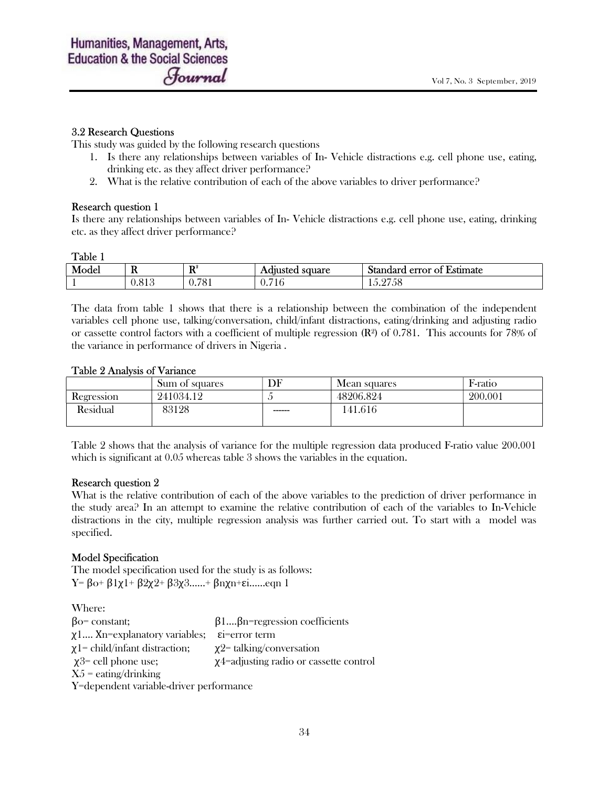#### 3.2 Research Questions

This study was guided by the following research questions

- 1. Is there any relationships between variables of In- Vehicle distractions e.g. cell phone use, eating, drinking etc. as they affect driver performance?
- 2. What is the relative contribution of each of the above variables to driver performance?

#### Research question 1

Is there any relationships between variables of In- Vehicle distractions e.g. cell phone use, eating, drinking etc. as they affect driver performance?

#### Table 1

| Model | л.                       | D <sup>2</sup><br>м   | . .<br>square<br>Adjusted | $\sim$ $-$<br>Standard .<br><b>L</b> stimate<br>error of<br>номи<br>. ст.<br>ла |
|-------|--------------------------|-----------------------|---------------------------|---------------------------------------------------------------------------------|
|       | O 1<br>0.01 <sub>C</sub> | 701<br>$'$ 0<br>, , , | $-1$<br>V.710             | $\cap$<br>Эc                                                                    |

The data from table 1 shows that there is a relationship between the combination of the independent variables cell phone use, talking/conversation, child/infant distractions, eating/drinking and adjusting radio or cassette control factors with a coefficient of multiple regression  $(\mathbb{R}^2)$  of 0.781. This accounts for 78% of the variance in performance of drivers in Nigeria .

#### Table 2 Analysis of Variance

|                   | Sum of squares | DF      | Mean squares | F-ratio |
|-------------------|----------------|---------|--------------|---------|
| <b>Regression</b> | 241034.12      |         | 48206.824    | 200.001 |
| Residual          | 83128          | ------- | 41.616       |         |
|                   |                |         |              |         |

Table 2 shows that the analysis of variance for the multiple regression data produced F-ratio value 200.001 which is significant at  $0.05$  whereas table 3 shows the variables in the equation.

#### Research question 2

What is the relative contribution of each of the above variables to the prediction of driver performance in the study area? In an attempt to examine the relative contribution of each of the variables to In-Vehicle distractions in the city, multiple regression analysis was further carried out. To start with a model was specified.

#### Model Specification

The model specification used for the study is as follows: Y= βo+ β1χ1+ β2χ2+ β3χ3……+ βnχn+εi……eqn 1

Where:

| $\beta$ o= constant;                    | $\beta$ 1 $\beta$ n=regression coefficients  |  |  |  |
|-----------------------------------------|----------------------------------------------|--|--|--|
| $\chi$ 1 Xn=explanatory variables;      | $\dot{\epsilon}$ = error term                |  |  |  |
| $\chi$ 1 = child/infant distraction;    | $\chi$ 2 = talking/conversation              |  |  |  |
| $\chi$ 3= cell phone use;               | $\chi$ 4=adjusting radio or cassette control |  |  |  |
| $X5 =$ eating/drinking                  |                                              |  |  |  |
| Y=dependent variable-driver performance |                                              |  |  |  |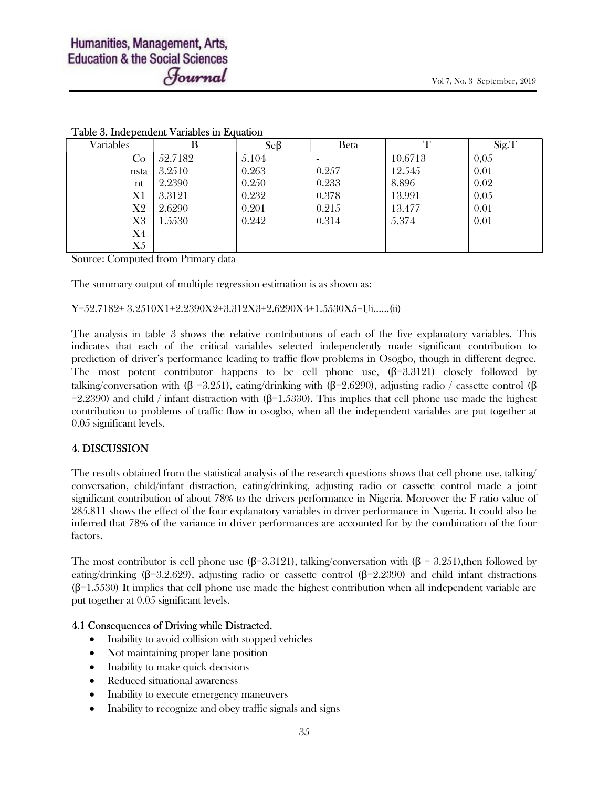| Variables | B       | SeB   | Beta  | T       | Sig.T |
|-----------|---------|-------|-------|---------|-------|
| Co        | 52.7182 | 5.104 |       | 10.6713 | 0,0.5 |
| nsta      | 3.2510  | 0.263 | 0.257 | 12.545  | 0.01  |
| nt        | 2.2390  | 0.250 | 0.233 | 8.896   | 0.02  |
| X1        | 3.3121  | 0.232 | 0.378 | 13.991  | 0.05  |
| X2        | 2.6290  | 0.201 | 0.215 | 13.477  | 0.01  |
| X3        | 1.5530  | 0.242 | 0.314 | 5.374   | 0.01  |
| X4        |         |       |       |         |       |
| X5        |         |       |       |         |       |

### Table 3. Independent Variables in Equation

Source: Computed from Primary data

The summary output of multiple regression estimation is as shown as:

Y=52.7182+ 3.2510X1+2.2390X2+3.312X3+2.6290X4+1.5530X5+Ui……(ii)

The analysis in table 3 shows the relative contributions of each of the five explanatory variables. This indicates that each of the critical variables selected independently made significant contribution to prediction of driver's performance leading to traffic flow problems in Osogbo, though in different degree. The most potent contributor happens to be cell phone use,  $(\beta=3.3121)$  closely followed by talking/conversation with (β =3.251), eating/drinking with (β=2.6290), adjusting radio / cassette control (β =2.2390) and child / infant distraction with ( $\beta$ =1.5330). This implies that cell phone use made the highest contribution to problems of traffic flow in osogbo, when all the independent variables are put together at 0.05 significant levels.

### 4. DISCUSSION

The results obtained from the statistical analysis of the research questions shows that cell phone use, talking/ conversation, child/infant distraction, eating/drinking, adjusting radio or cassette control made a joint significant contribution of about 78% to the drivers performance in Nigeria. Moreover the F ratio value of 285.811 shows the effect of the four explanatory variables in driver performance in Nigeria. It could also be inferred that 78% of the variance in driver performances are accounted for by the combination of the four factors.

The most contributor is cell phone use ( $\beta$ =3.3121), talking/conversation with ( $\beta$  = 3.251), then followed by eating/drinking (β=3.2.629), adjusting radio or cassette control (β=2.2390) and child infant distractions  $(\beta=1.5530)$  It implies that cell phone use made the highest contribution when all independent variable are put together at 0.05 significant levels.

#### 4.1 Consequences of Driving while Distracted.

- Inability to avoid collision with stopped vehicles
- Not maintaining proper lane position
- Inability to make quick decisions
- Reduced situational awareness
- Inability to execute emergency maneuvers
- Inability to recognize and obey traffic signals and signs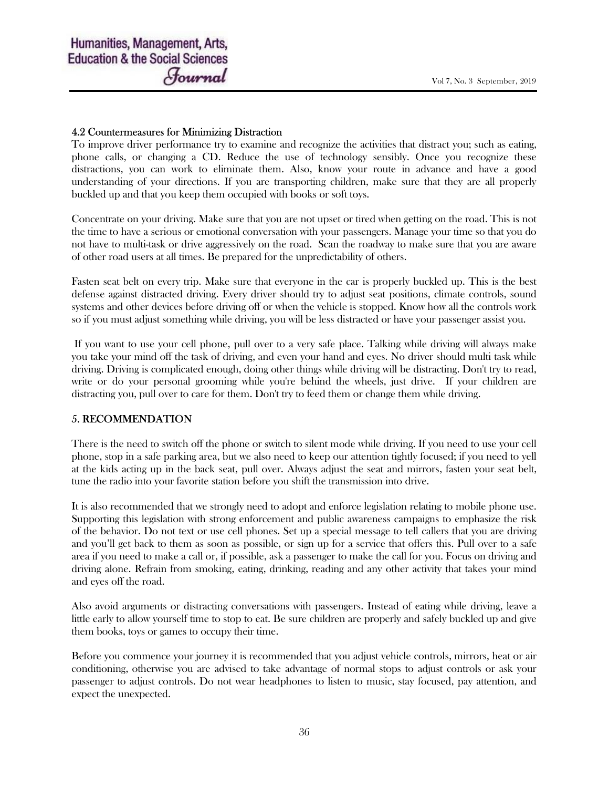#### 4.2 Countermeasures for Minimizing Distraction

To improve driver performance try to examine and recognize the activities that distract you; such as eating, phone calls, or changing a CD. Reduce the use of technology sensibly. Once you recognize these distractions, you can work to eliminate them. Also, know your route in advance and have a good understanding of your directions. If you are transporting children, make sure that they are all properly buckled up and that you keep them occupied with books or soft toys.

Concentrate on your driving. Make sure that you are not upset or tired when getting on the road. This is not the time to have a serious or emotional conversation with your passengers. Manage your time so that you do not have to multi-task or drive aggressively on the road. Scan the roadway to make sure that you are aware of other road users at all times. Be prepared for the unpredictability of others.

Fasten seat belt on every trip. Make sure that everyone in the car is properly buckled up. This is the best defense against distracted driving. Every driver should try to adjust seat positions, climate controls, sound systems and other devices before driving off or when the vehicle is stopped. Know how all the controls work so if you must adjust something while driving, you will be less distracted or have your passenger assist you.

 If you want to use your cell phone, pull over to a very safe place. Talking while driving will always make you take your mind off the task of driving, and even your hand and eyes. No driver should multi task while driving. Driving is complicated enough, doing other things while driving will be distracting. Don't try to read, write or do your personal grooming while you're behind the wheels, just drive. If your children are distracting you, pull over to care for them. Don't try to feed them or change them while driving.

### 5. RECOMMENDATION

There is the need to switch off the phone or switch to silent mode while driving. If you need to use your cell phone, stop in a safe parking area, but we also need to keep our attention tightly focused; if you need to yell at the kids acting up in the back seat, pull over. Always adjust the seat and mirrors, fasten your seat belt, tune the radio into your favorite station before you shift the transmission into drive.

It is also recommended that we strongly need to adopt and enforce legislation relating to mobile phone use. Supporting this legislation with strong enforcement and public awareness campaigns to emphasize the risk of the behavior. Do not text or use cell phones. Set up a special message to tell callers that you are driving and you'll get back to them as soon as possible, or sign up for a service that offers this. Pull over to a safe area if you need to make a call or, if possible, ask a passenger to make the call for you. Focus on driving and driving alone. Refrain from smoking, eating, drinking, reading and any other activity that takes your mind and eyes off the road.

Also avoid arguments or distracting conversations with passengers. Instead of eating while driving, leave a little early to allow yourself time to stop to eat. Be sure children are properly and safely buckled up and give them books, toys or games to occupy their time.

Before you commence your journey it is recommended that you adjust vehicle controls, mirrors, heat or air conditioning, otherwise you are advised to take advantage of normal stops to adjust controls or ask your passenger to adjust controls. Do not wear headphones to listen to music, stay focused, pay attention, and expect the unexpected.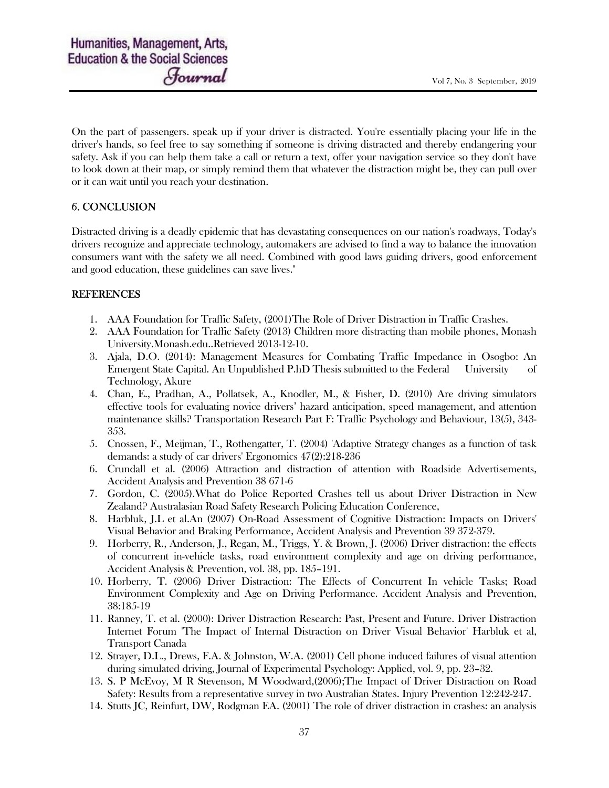On the part of passengers. speak up if your driver is distracted. You're essentially placing your life in the driver's hands, so feel free to say something if someone is driving distracted and thereby endangering your safety. Ask if you can help them take a call or return a text, offer your navigation service so they don't have to look down at their map, or simply remind them that whatever the distraction might be, they can pull over or it can wait until you reach your destination.

# 6. CONCLUSION

Distracted driving is a deadly epidemic that has devastating consequences on our nation's roadways, Today's drivers recognize and appreciate technology, automakers are advised to find a way to balance the innovation consumers want with the safety we all need. Combined with good laws guiding drivers, good enforcement and good education, these guidelines can save lives."

# REFERENCES

- 1. AAA Foundation for Traffic Safety, (2001)The Role of Driver Distraction in Traffic Crashes.
- 2. AAA Foundation for Traffic Safety (2013) Children more distracting than mobile phones, Monash University.Monash.edu..Retrieved 2013-12-10.
- 3. Ajala, D.O. (2014): Management Measures for Combating Traffic Impedance in Osogbo: An Emergent State Capital. An Unpublished P.hD Thesis submitted to the Federal University of Technology, Akure
- 4. Chan, E., Pradhan, A., Pollatsek, A., Knodler, M., & Fisher, D. (2010) Are driving simulators effective tools for evaluating novice drivers' hazard anticipation, speed management, and attention maintenance skills? Transportation Research Part F: Traffic Psychology and Behaviour, 13(5), 343- 353.
- 5. Cnossen, F., Meijman, T., Rothengatter, T. (2004) 'Adaptive Strategy changes as a function of task demands: a study of car drivers' Ergonomics 47(2):218-236
- 6. Crundall et al. (2006) Attraction and distraction of attention with Roadside Advertisements, Accident Analysis and Prevention 38 671-6
- 7. Gordon, C. (2005).What do Police Reported Crashes tell us about Driver Distraction in New Zealand? Australasian Road Safety Research Policing Education Conference,
- 8. Harbluk, J.L et al.An (2007) On-Road Assessment of Cognitive Distraction: Impacts on Drivers' Visual Behavior and Braking Performance, Accident Analysis and Prevention 39 372-379.
- 9. Horberry, R., Anderson, J., Regan, M., Triggs, Y. & Brown, J. (2006) Driver distraction: the effects of concurrent in-vehicle tasks, road environment complexity and age on driving performance, Accident Analysis & Prevention, vol. 38, pp. 185–191.
- 10. Horberry, T. (2006) Driver Distraction: The Effects of Concurrent In vehicle Tasks; Road Environment Complexity and Age on Driving Performance. Accident Analysis and Prevention, 38:185-19
- 11. Ranney, T. et al. (2000): Driver Distraction Research: Past, Present and Future. Driver Distraction Internet Forum 'The Impact of Internal Distraction on Driver Visual Behavior' Harbluk et al, Transport Canada
- 12. Strayer, D.L., Drews, F.A. & Johnston, W.A. (2001) Cell phone induced failures of visual attention during simulated driving, Journal of Experimental Psychology: Applied, vol. 9, pp. 23–32.
- 13. S. P McEvoy, M R Stevenson, M Woodward,(2006);The Impact of Driver Distraction on Road Safety: Results from a representative survey in two Australian States. Injury Prevention 12:242-247.
- 14. Stutts JC, Reinfurt, DW, Rodgman EA. (2001) The role of driver distraction in crashes: an analysis